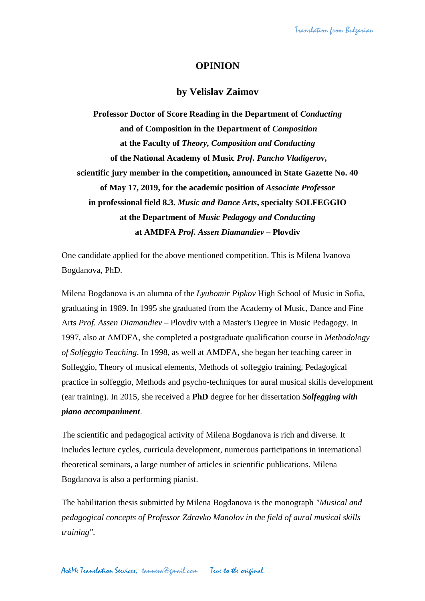## **OPINION**

## **by Velislav Zaimov**

**Professor Doctor of Score Reading in the Department of** *Conducting* **and of Composition in the Department of** *Composition* **at the Faculty of** *Theory, Composition and Conducting* **of the National Academy of Music** *Prof. Pancho Vladigerov***, scientific jury member in the competition, announced in State Gazette No. 40 of May 17, 2019, for the academic position of** *Associate Professor* **in professional field 8.3.** *Music and Dance Arts***, specialty SOLFEGGIO at the Department of** *Music Pedagogy and Conducting* **at AMDFA** *Prof. Assen Diamandiev* **– Plovdiv**

One candidate applied for the above mentioned competition. This is Milena Ivanova Bogdanova, PhD.

Milena Bogdanova is an alumna of the *Lyubomir Pipkov* High School of Music in Sofia, graduating in 1989. In 1995 she graduated from the Academy of Music, Dance and Fine Arts *Prof. Assen Diamandiev* – Plovdiv with a Master's Degree in Music Pedagogy. In 1997, also at AMDFA, she completed a postgraduate qualification course in *Methodology of Solfeggio Teaching*. In 1998, as well at AMDFA, she began her teaching career in Solfeggio, Theory of musical elements, Methods of solfeggio training, Pedagogical practice in solfeggio, Methods and psycho-techniques for aural musical skills development (ear training). In 2015, she received a **PhD** degree for her dissertation *Solfegging with piano accompaniment*.

The scientific and pedagogical activity of Milena Bogdanova is rich and diverse. It includes lecture cycles, curricula development, numerous participations in international theoretical seminars, a large number of articles in scientific publications. Milena Bogdanova is also a performing pianist.

The habilitation thesis submitted by Milena Bogdanova is the monograph *"Musical and pedagogical concepts of Professor Zdravko Manolov in the field of aural musical skills training"*.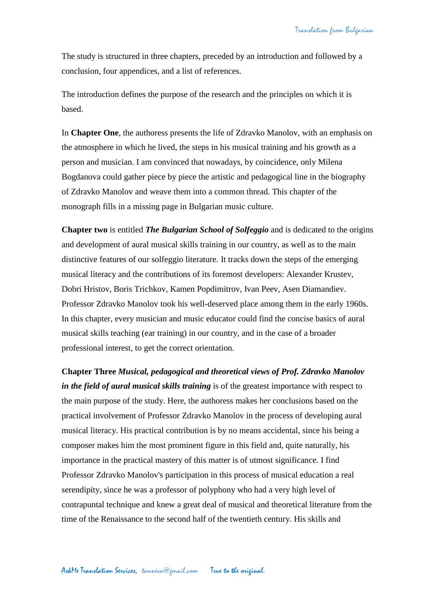The study is structured in three chapters, preceded by an introduction and followed by a conclusion, four appendices, and a list of references.

The introduction defines the purpose of the research and the principles on which it is based.

In **Chapter One**, the authoress presents the life of Zdravko Manolov, with an emphasis on the atmosphere in which he lived, the steps in his musical training and his growth as a person and musician. I am convinced that nowadays, by coincidence, only Milena Bogdanova could gather piece by piece the artistic and pedagogical line in the biography of Zdravko Manolov and weave them into a common thread. This chapter of the monograph fills in a missing page in Bulgarian music culture.

**Chapter two** is entitled *The Bulgarian School of Solfeggio* and is dedicated to the origins and development of aural musical skills training in our country, as well as to the main distinctive features of our solfeggio literature. It tracks down the steps of the emerging musical literacy and the contributions of its foremost developers: Alexander Krustev, Dobri Hristov, Boris Trichkov, Kamen Popdimitrov, Ivan Peev, Asen Diamandiev. Professor Zdravko Manolov took his well-deserved place among them in the early 1960s. In this chapter, every musician and music educator could find the concise basics of aural musical skills teaching (ear training) in our country, and in the case of a broader professional interest, to get the correct orientation.

**Chapter Three** *Musical, pedagogical and theoretical views of Prof. Zdravko Manolov in the field of aural musical skills training* is of the greatest importance with respect to the main purpose of the study. Here, the authoress makes her conclusions based on the practical involvement of Professor Zdravko Manolov in the process of developing aural musical literacy. His practical contribution is by no means accidental, since his being a composer makes him the most prominent figure in this field and, quite naturally, his importance in the practical mastery of this matter is of utmost significance. I find Professor Zdravko Manolov's participation in this process of musical education a real serendipity, since he was a professor of polyphony who had a very high level of contrapuntal technique and knew a great deal of musical and theoretical literature from the time of the Renaissance to the second half of the twentieth century. His skills and